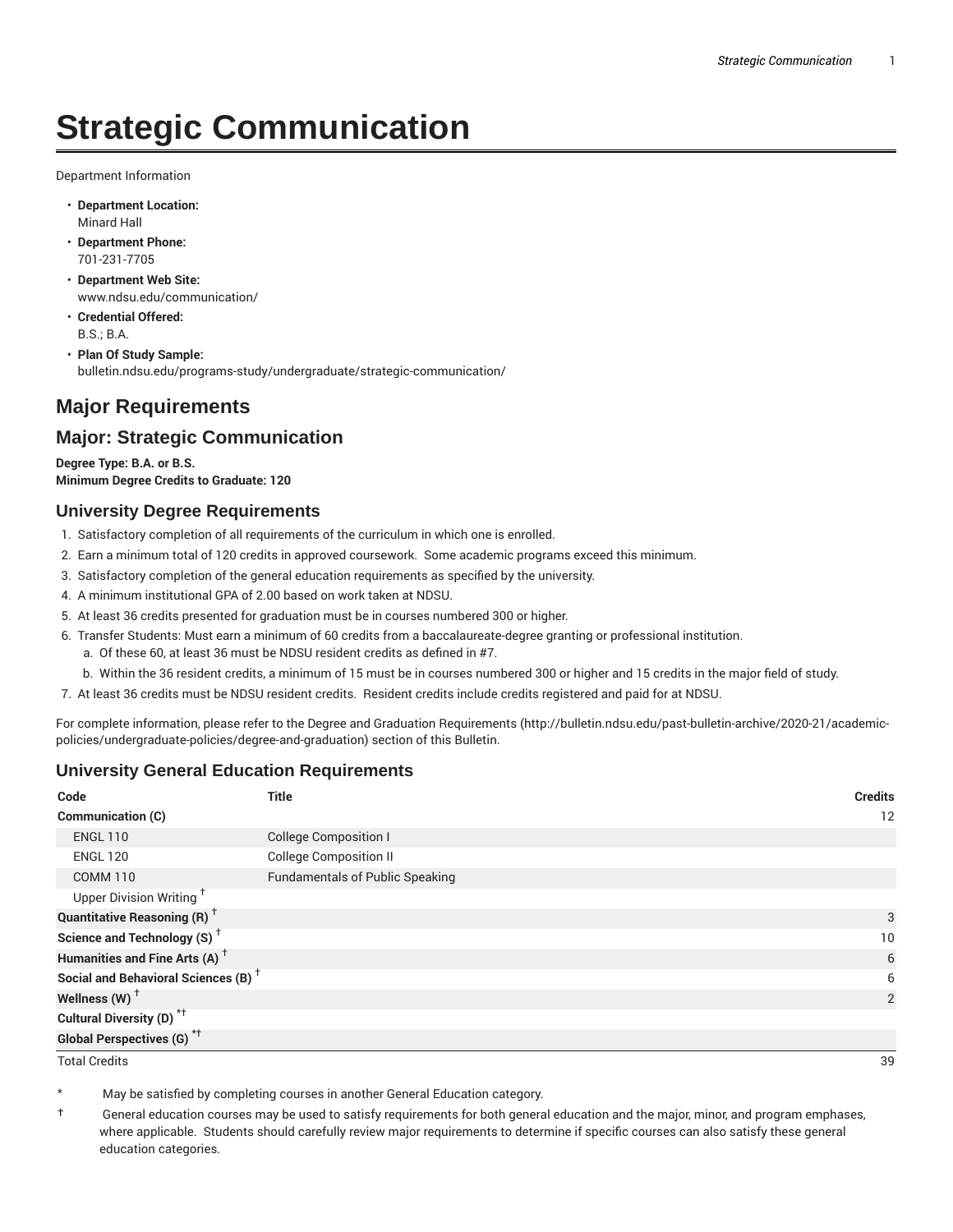# **Strategic Communication**

Department Information

- **Department Location:** Minard Hall
- **Department Phone:** 701-231-7705
- **Department Web Site:** www.ndsu.edu/communication/
- **Credential Offered:** B.S.; B.A.
- **Plan Of Study Sample:** bulletin.ndsu.edu/programs-study/undergraduate/strategic-communication/

## **Major Requirements**

## **Major: Strategic Communication**

**Degree Type: B.A. or B.S. Minimum Degree Credits to Graduate: 120**

#### **University Degree Requirements**

- 1. Satisfactory completion of all requirements of the curriculum in which one is enrolled.
- 2. Earn a minimum total of 120 credits in approved coursework. Some academic programs exceed this minimum.
- 3. Satisfactory completion of the general education requirements as specified by the university.
- 4. A minimum institutional GPA of 2.00 based on work taken at NDSU.
- 5. At least 36 credits presented for graduation must be in courses numbered 300 or higher.
- 6. Transfer Students: Must earn a minimum of 60 credits from a baccalaureate-degree granting or professional institution.
	- a. Of these 60, at least 36 must be NDSU resident credits as defined in #7.
	- b. Within the 36 resident credits, a minimum of 15 must be in courses numbered 300 or higher and 15 credits in the major field of study.
- 7. At least 36 credits must be NDSU resident credits. Resident credits include credits registered and paid for at NDSU.

For complete information, please refer to the Degree and Graduation Requirements (http://bulletin.ndsu.edu/past-bulletin-archive/2020-21/academicpolicies/undergraduate-policies/degree-and-graduation) section of this Bulletin.

#### **University General Education Requirements**

| Code                                            | <b>Title</b>                           | <b>Credits</b> |
|-------------------------------------------------|----------------------------------------|----------------|
| Communication (C)                               |                                        | 12             |
| <b>ENGL 110</b>                                 | <b>College Composition I</b>           |                |
| <b>ENGL 120</b>                                 | <b>College Composition II</b>          |                |
| <b>COMM 110</b>                                 | <b>Fundamentals of Public Speaking</b> |                |
| Upper Division Writing <sup>+</sup>             |                                        |                |
| <b>Quantitative Reasoning (R)</b> <sup>†</sup>  |                                        | 3              |
| Science and Technology (S) <sup>+</sup>         |                                        | 10             |
| Humanities and Fine Arts (A) <sup>+</sup>       |                                        | 6              |
| Social and Behavioral Sciences (B) <sup>+</sup> |                                        | 6              |
| Wellness $(W)$ <sup>+</sup>                     |                                        | 2              |
| Cultural Diversity (D) <sup>*†</sup>            |                                        |                |
| <b>Global Perspectives (G)<sup>*†</sup></b>     |                                        |                |

Total Credits 39

May be satisfied by completing courses in another General Education category.

† General education courses may be used to satisfy requirements for both general education and the major, minor, and program emphases, where applicable. Students should carefully review major requirements to determine if specific courses can also satisfy these general education categories.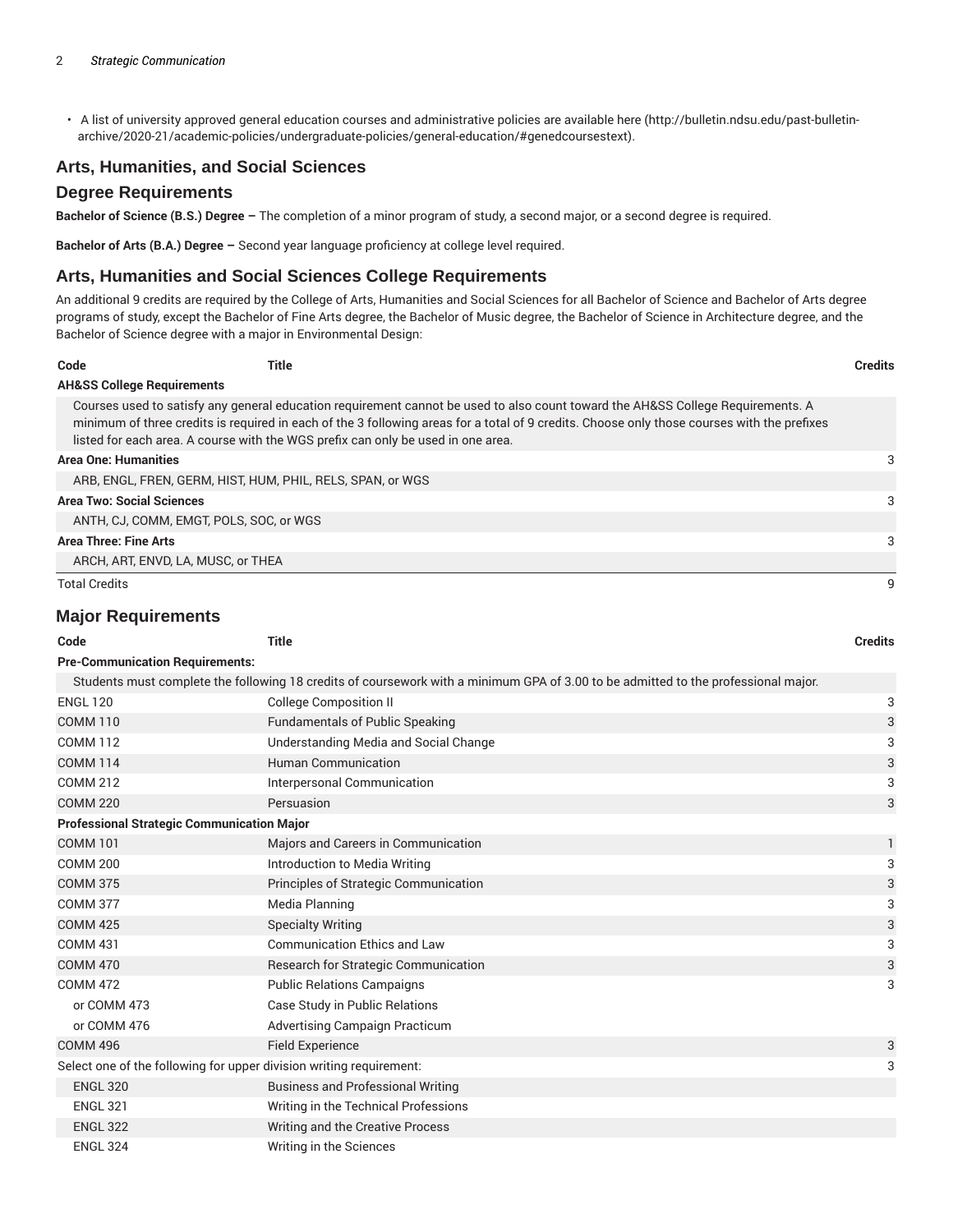• A list of university approved general education courses and administrative policies are available here (http://bulletin.ndsu.edu/past-bulletinarchive/2020-21/academic-policies/undergraduate-policies/general-education/#genedcoursestext).

### **Arts, Humanities, and Social Sciences**

#### **Degree Requirements**

**Bachelor of Science (B.S.) Degree –** The completion of a minor program of study, a second major, or a second degree is required.

**Bachelor of Arts (B.A.) Degree –** Second year language proficiency at college level required.

#### **Arts, Humanities and Social Sciences College Requirements**

An additional 9 credits are required by the College of Arts, Humanities and Social Sciences for all Bachelor of Science and Bachelor of Arts degree programs of study, except the Bachelor of Fine Arts degree, the Bachelor of Music degree, the Bachelor of Science in Architecture degree, and the Bachelor of Science degree with a major in Environmental Design:

| Code                                  | Title                                                                            |                                                                                                                                                                                                                                                                                | <b>Credits</b> |
|---------------------------------------|----------------------------------------------------------------------------------|--------------------------------------------------------------------------------------------------------------------------------------------------------------------------------------------------------------------------------------------------------------------------------|----------------|
| <b>AH&amp;SS College Requirements</b> |                                                                                  |                                                                                                                                                                                                                                                                                |                |
|                                       | listed for each area. A course with the WGS prefix can only be used in one area. | Courses used to satisfy any general education requirement cannot be used to also count toward the AH&SS College Requirements. A<br>minimum of three credits is required in each of the 3 following areas for a total of 9 credits. Choose only those courses with the prefixes |                |
| <b>Area One: Humanities</b>           |                                                                                  |                                                                                                                                                                                                                                                                                |                |
|                                       | ARB, ENGL, FREN, GERM, HIST, HUM, PHIL, RELS, SPAN, or WGS                       |                                                                                                                                                                                                                                                                                |                |
| <b>Area Two: Social Sciences</b>      |                                                                                  |                                                                                                                                                                                                                                                                                | 3              |
|                                       | ANTH, CJ, COMM, EMGT, POLS, SOC, or WGS                                          |                                                                                                                                                                                                                                                                                |                |
| <b>Area Three: Fine Arts</b>          |                                                                                  |                                                                                                                                                                                                                                                                                | 3              |
|                                       | ARCH, ART, ENVD, LA, MUSC, or THEA                                               |                                                                                                                                                                                                                                                                                |                |
| <b>Total Credits</b>                  |                                                                                  |                                                                                                                                                                                                                                                                                |                |

#### **Major Requirements**

| Code                                                                | <b>Title</b>                                                                                                                       | <b>Credits</b> |
|---------------------------------------------------------------------|------------------------------------------------------------------------------------------------------------------------------------|----------------|
| <b>Pre-Communication Requirements:</b>                              |                                                                                                                                    |                |
|                                                                     | Students must complete the following 18 credits of coursework with a minimum GPA of 3.00 to be admitted to the professional major. |                |
| <b>ENGL 120</b>                                                     | <b>College Composition II</b>                                                                                                      | 3              |
| <b>COMM 110</b>                                                     | <b>Fundamentals of Public Speaking</b>                                                                                             | 3              |
| <b>COMM 112</b>                                                     | Understanding Media and Social Change                                                                                              | 3              |
| <b>COMM 114</b>                                                     | <b>Human Communication</b>                                                                                                         | 3              |
| <b>COMM 212</b>                                                     | Interpersonal Communication                                                                                                        | 3              |
| <b>COMM 220</b>                                                     | Persuasion                                                                                                                         | 3              |
| <b>Professional Strategic Communication Major</b>                   |                                                                                                                                    |                |
| <b>COMM 101</b>                                                     | Majors and Careers in Communication                                                                                                | 1              |
| <b>COMM 200</b>                                                     | Introduction to Media Writing                                                                                                      | 3              |
| <b>COMM 375</b>                                                     | Principles of Strategic Communication                                                                                              | 3              |
| <b>COMM 377</b>                                                     | Media Planning                                                                                                                     | 3              |
| <b>COMM 425</b>                                                     | <b>Specialty Writing</b>                                                                                                           | 3              |
| <b>COMM 431</b>                                                     | <b>Communication Ethics and Law</b>                                                                                                | 3              |
| <b>COMM 470</b>                                                     | Research for Strategic Communication                                                                                               | 3              |
| <b>COMM 472</b>                                                     | <b>Public Relations Campaigns</b>                                                                                                  | 3              |
| or COMM 473                                                         | Case Study in Public Relations                                                                                                     |                |
| or COMM 476                                                         | <b>Advertising Campaign Practicum</b>                                                                                              |                |
| <b>COMM 496</b>                                                     | <b>Field Experience</b>                                                                                                            | 3              |
| Select one of the following for upper division writing requirement: |                                                                                                                                    | 3              |
| <b>ENGL 320</b>                                                     | <b>Business and Professional Writing</b>                                                                                           |                |
| <b>ENGL 321</b>                                                     | Writing in the Technical Professions                                                                                               |                |
| <b>ENGL 322</b>                                                     | Writing and the Creative Process                                                                                                   |                |
| <b>ENGL 324</b>                                                     | Writing in the Sciences                                                                                                            |                |